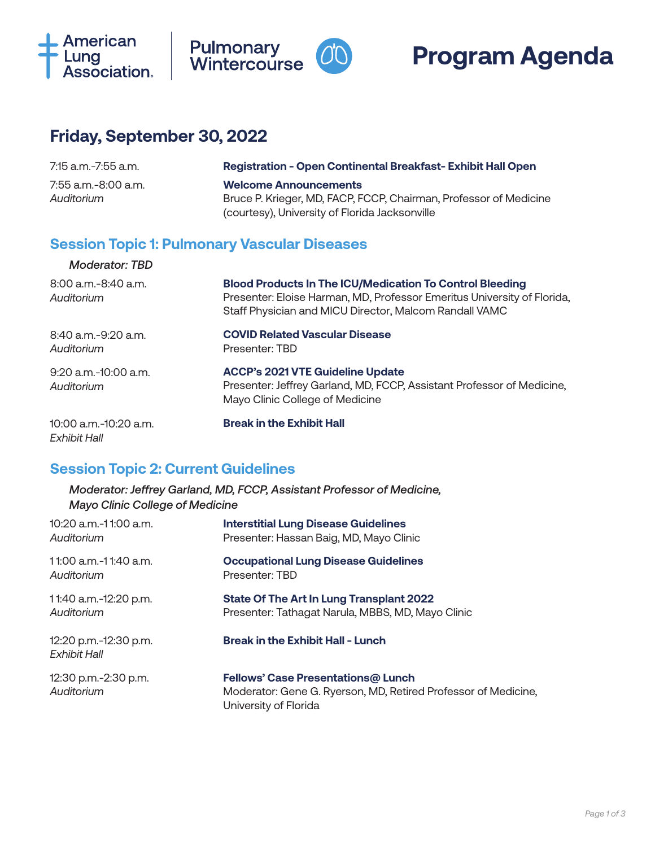





## **Friday, September 30, 2022**

| 7:15 a.m.-7:55 a.m.               | <b>Registration - Open Continental Breakfast-Exhibit Hall Open</b>                                                                                  |
|-----------------------------------|-----------------------------------------------------------------------------------------------------------------------------------------------------|
| 7:55 a.m.-8:00 a.m.<br>Auditorium | <b>Welcome Announcements</b><br>Bruce P. Krieger, MD, FACP, FCCP, Chairman, Professor of Medicine<br>(courtesy), University of Florida Jacksonville |

#### **Session Topic 1: Pulmonary Vascular Diseases**

| Moderator: TBD                             |                                                                                                                                                                                                      |
|--------------------------------------------|------------------------------------------------------------------------------------------------------------------------------------------------------------------------------------------------------|
| $8:00$ a.m. $-8:40$ a.m.<br>Auditorium     | <b>Blood Products In The ICU/Medication To Control Bleeding</b><br>Presenter: Eloise Harman, MD, Professor Emeritus University of Florida,<br>Staff Physician and MICU Director, Malcom Randall VAMC |
| $8:40$ a.m. $-9:20$ a.m.<br>Auditorium     | <b>COVID Related Vascular Disease</b><br>Presenter: TBD                                                                                                                                              |
| $9:20$ a.m.-10:00 a.m.<br>Auditorium       | <b>ACCP's 2021 VTE Guideline Update</b><br>Presenter: Jeffrey Garland, MD, FCCP, Assistant Professor of Medicine,<br>Mayo Clinic College of Medicine                                                 |
| $10:00$ a.m. $-10:20$ a.m.<br>Exhibit Hall | <b>Break in the Exhibit Hall</b>                                                                                                                                                                     |

## **Session Topic 2: Current Guidelines**

*Moderator: Jeffrey Garland, MD, FCCP, Assistant Professor of Medicine, Mayo Clinic College of Medicine*

| 10:20 a.m.-11:00 a.m.                 | <b>Interstitial Lung Disease Guidelines</b>                                                                                          |
|---------------------------------------|--------------------------------------------------------------------------------------------------------------------------------------|
| Auditorium                            | Presenter: Hassan Baig, MD, Mayo Clinic                                                                                              |
| 11:00 a.m.-11:40 a.m.                 | <b>Occupational Lung Disease Guidelines</b>                                                                                          |
| Auditorium                            | Presenter: TBD                                                                                                                       |
| 11:40 a.m.-12:20 p.m.                 | <b>State Of The Art In Lung Transplant 2022</b>                                                                                      |
| Auditorium                            | Presenter: Tathagat Narula, MBBS, MD, Mayo Clinic                                                                                    |
| 12:20 p.m.-12:30 p.m.<br>Exhibit Hall | <b>Break in the Exhibit Hall - Lunch</b>                                                                                             |
| 12:30 p.m.-2:30 p.m.<br>Auditorium    | <b>Fellows' Case Presentations@ Lunch</b><br>Moderator: Gene G. Ryerson, MD, Retired Professor of Medicine,<br>University of Florida |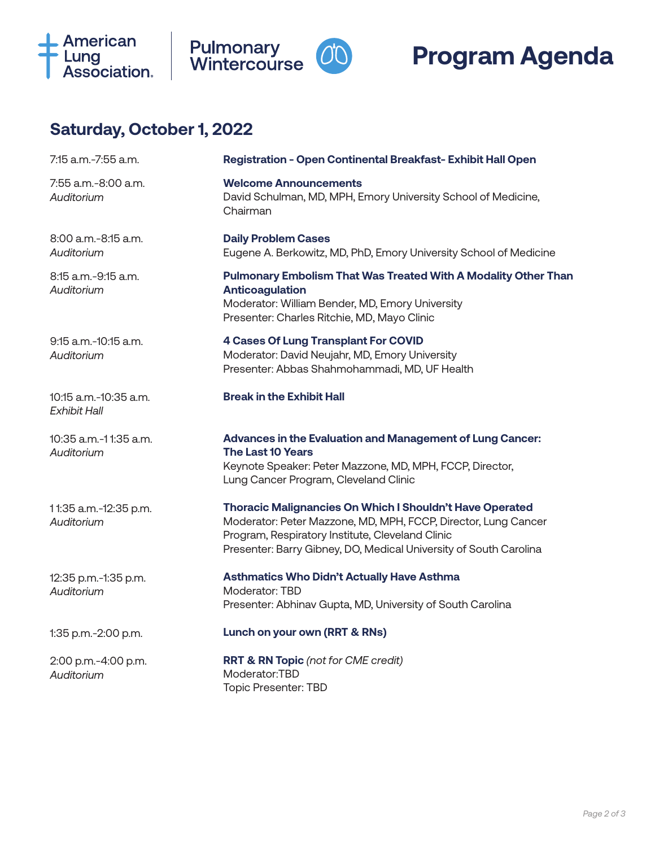





# **Saturday, October 1, 2022**

| 7:15 a.m.-7:55 a.m.                          | Registration - Open Continental Breakfast-Exhibit Hall Open                                                                                                                                                                                         |
|----------------------------------------------|-----------------------------------------------------------------------------------------------------------------------------------------------------------------------------------------------------------------------------------------------------|
| 7:55 a.m.-8:00 a.m.<br>Auditorium            | <b>Welcome Announcements</b><br>David Schulman, MD, MPH, Emory University School of Medicine,<br>Chairman                                                                                                                                           |
| 8:00 a.m.-8:15 a.m.<br>Auditorium            | <b>Daily Problem Cases</b><br>Eugene A. Berkowitz, MD, PhD, Emory University School of Medicine                                                                                                                                                     |
| 8:15 a.m.-9:15 a.m.<br>Auditorium            | <b>Pulmonary Embolism That Was Treated With A Modality Other Than</b><br><b>Anticoagulation</b><br>Moderator: William Bender, MD, Emory University<br>Presenter: Charles Ritchie, MD, Mayo Clinic                                                   |
| $9:15$ a.m. $-10:15$ a.m.<br>Auditorium      | <b>4 Cases Of Lung Transplant For COVID</b><br>Moderator: David Neujahr, MD, Emory University<br>Presenter: Abbas Shahmohammadi, MD, UF Health                                                                                                      |
| 10:15 a.m.-10:35 a.m.<br><b>Exhibit Hall</b> | <b>Break in the Exhibit Hall</b>                                                                                                                                                                                                                    |
| 10:35 a.m.-11:35 a.m.<br>Auditorium          | Advances in the Evaluation and Management of Lung Cancer:<br><b>The Last 10 Years</b><br>Keynote Speaker: Peter Mazzone, MD, MPH, FCCP, Director,<br>Lung Cancer Program, Cleveland Clinic                                                          |
| 11:35 a.m.-12:35 p.m.<br>Auditorium          | Thoracic Malignancies On Which I Shouldn't Have Operated<br>Moderator: Peter Mazzone, MD, MPH, FCCP, Director, Lung Cancer<br>Program, Respiratory Institute, Cleveland Clinic<br>Presenter: Barry Gibney, DO, Medical University of South Carolina |
| 12:35 p.m.-1:35 p.m.<br>Auditorium           | <b>Asthmatics Who Didn't Actually Have Asthma</b><br>Moderator: TBD<br>Presenter: Abhinav Gupta, MD, University of South Carolina                                                                                                                   |
| 1:35 p.m.-2:00 p.m.                          | Lunch on your own (RRT & RNs)                                                                                                                                                                                                                       |
| 2:00 p.m.-4:00 p.m.<br>Auditorium            | <b>RRT &amp; RN Topic</b> (not for CME credit)<br>Moderator:TBD<br><b>Topic Presenter: TBD</b>                                                                                                                                                      |